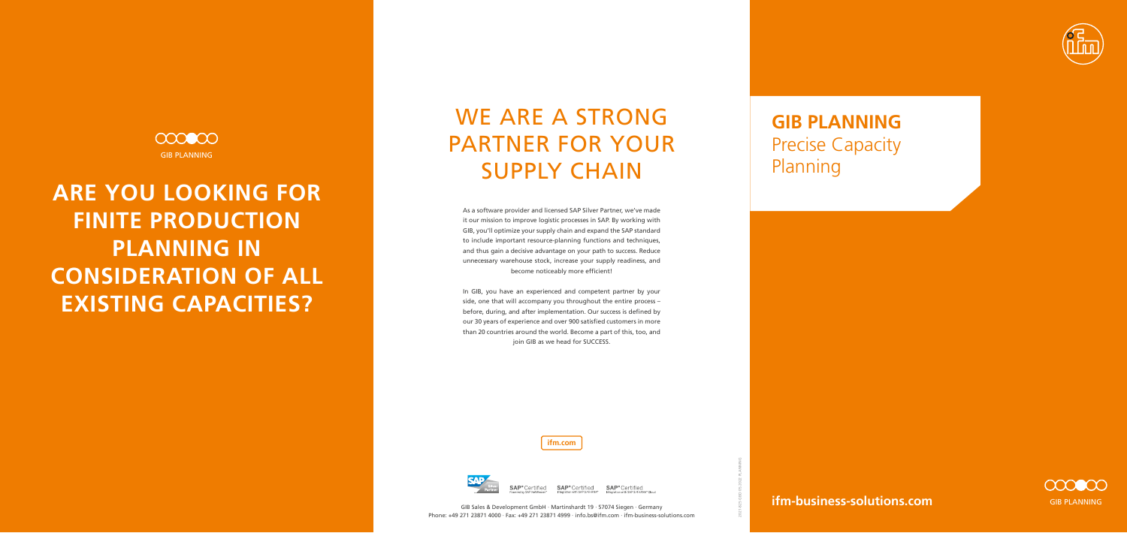### **ifm-business-solutions.com**

**ifm.com**



2021-825 GBD 05.2022 PLANNING



As a software provider and licensed SAP Silver Partner, we've made it our mission to improve logistic processes in SAP. By working with GIB, you'll optimize your supply chain and expand the SAP standard to include important resource-planning functions and techniques, and thus gain a decisive advantage on your path to success. Reduce unnecessary warehouse stock, increase your supply readiness, and become noticeably more efficient!

000000 GIB PLANNING

> In GIB, you have an experienced and competent partner by your side, one that will accompany you throughout the entire process – before, during, and after implementation. Our success is defined by our 30 years of experience and over 900 satisfied customers in more than 20 countries around the world. Become a part of this, too, and join GIB as we head for SUCCESS.

# WE ARE A STRONG PARTNER FOR YOUR SUPPLY CHAIN

**ARE YOU LOOKING FOR FINITE PRODUCTION PLANNING IN CONSIDERATION OF ALL EXISTING CAPACITIES?** 

**GIB PLANNING** Precise Capacity Planning



Certified **SAP**® Certified **SAP**® Certified